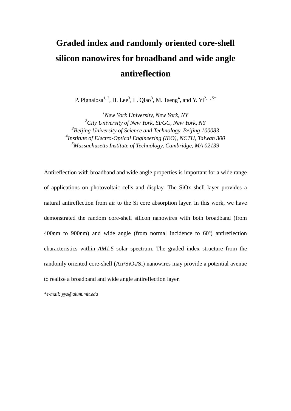## **Graded index and randomly oriented core-shell silicon nanowires for broadband and wide angle antireflection**

P. Pignalosa<sup>1, 2</sup>, H. Lee<sup>3</sup>, L. Qiao<sup>3</sup>, M. Tseng<sup>4</sup>, and Y. Yi<sup>2, 1, 5\*</sup>

*New York University, New York, NY City University of New York, SI/GC, New York, NY Beijing University of Science and Technology, Beijing 100083 Institute of Electro-Optical Engineering (IEO), NCTU, Taiwan 300 Massachusetts Institute of Technology, Cambridge, MA 02139*

Antireflection with broadband and wide angle properties is important for a wide range of applications on photovoltaic cells and display. The SiOx shell layer provides a natural antireflection from air to the Si core absorption layer. In this work, we have demonstrated the random core-shell silicon nanowires with both broadband (from 400nm to 900nm) and wide angle (from normal incidence to 60º) antireflection characteristics within *AM1.5* solar spectrum. The graded index structure from the randomly oriented core-shell  $(Air/SiO<sub>x</sub>/Si)$  nanowires may provide a potential avenue to realize a broadband and wide angle antireflection layer.

*\*e-mail: yys@alum.mit.edu*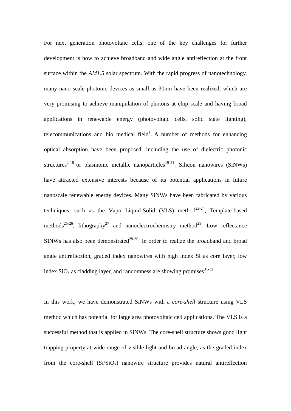For next generation photovoltaic cells, one of the key challenges for further development is how to achieve broadband and wide angle antireflection at the front surface within the *AM1.5* solar spectrum. With the rapid progress of nanotechnology, many nano scale photonic devices as small as 30nm have been realized, which are very promising to achieve manipulation of photons at chip scale and having broad applications in renewable energy (photovoltaic cells, solid state lighting), telecommunications and bio medical field<sup>1</sup>. A number of methods for enhancing optical absorption have been proposed, including the use of dielectric photonic structures<sup>2-18</sup> or plasmonic metallic nanoparticles<sup>19-21</sup>. Silicon nanowires (SiNWs) have attracted extensive interests because of its potential applications in future nanoscale renewable energy devices. Many SiNWs have been fabricated by various techniques, such as the Vapor-Liquid-Solid (VLS) method<sup>22-24</sup>, Template-based methods<sup>25-26</sup>, lithography<sup>27</sup> and nanoelectrochemistry method<sup>28</sup>. Low reflectance SINWs has also been demonstrated<sup>29-30</sup>. In order to realize the broadband and broad angle antireflection, graded index nanowires with high index Si as core layer, low index  $SiO_x$  as cladding layer, and randomness are showing promises  $31-32$ .

In this work, we have demonstrated SiNWs with a *core-shell* structure using VLS method which has potential for large area photovoltaic cell applications. The VLS is a successful method that is applied in SiNWs. The core-shell structure shows good light trapping property at wide range of visible light and broad angle, as the graded index from the core-shell  $(Si/SiO<sub>x</sub>)$  nanowire structure provides natural antireflection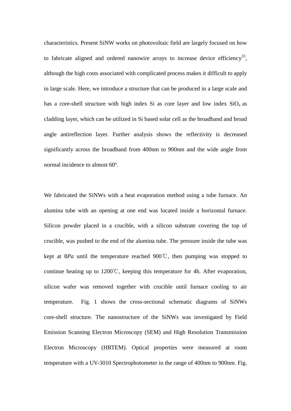characteristics. Present SiNW works on [photovoltaic](http://dict.cnki.net/dict_result.aspx?searchword=%e5%85%89%e4%bc%8f&tjType=sentence&style=&t=photovoltaic) field are largely focused on how to fabricate aligned and ordered nanowire arrays to increase device efficiency<sup>33</sup>, although the high costs associated with complicated process makes it difficult to apply in large scale. Here, we introduce a structure that can be produced in a large scale and has a core-shell structure with high index Si as core layer and low index  $SiO<sub>x</sub>$  as cladding layer, which can be utilized in Si based solar cell as the broadband and broad angle antireflection layer. Further analysis shows the reflectivity is decreased significantly across the broadband from 400nm to 900nm and the wide angle from normal incidence to almost 60º.

We fabricated the SiNWs with a heat evaporation method using a tube furnace. An alumina tube with an opening at one end was located inside a horizontal furnace. Silicon powder placed in a crucible, with a silicon substrate covering the top of crucible, was pushed to the end of the alumina tube. The pressure inside the tube was kept at 8*Pa* until the temperature reached 900℃, then pumping was stopped to continue heating up to  $1200^{\circ}\text{C}$ , keeping this temperature for 4h. After evaporation, silicon wafer was removed together with crucible until furnace cooling to air temperature. Fig. 1 shows the cross-sectional schematic diagrams of SiNWs core-shell structure. The nanostructure of the SiNWs was investigated by Field Emission Scanning Electron Microscopy (SEM) and High Resolution Transmission Electron Microscopy (HRTEM). Optical properties were measured at room temperature with a UV-3010 Spectrophotometer in the range of 400nm to 900nm. Fig.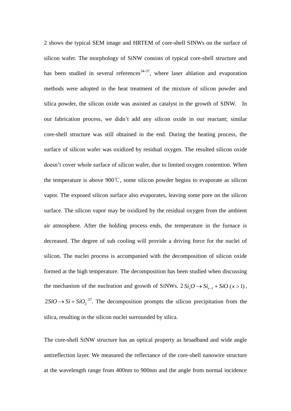2 shows the typical SEM image and HRTEM of core-shell SINWs on the surface of silicon wafer. The morphology of SiNW consists of typical core-shell structure and has been studied in several references<sup>34-37</sup>, where laser ablation and evaporation methods were adopted in the heat treatment of the mixture of silicon powder and silica powder, the silicon oxide was assisted as catalyst in the growth of SINW. In our fabrication process, we didn't add any silicon oxide in our reactant; similar core-shell structure was still obtained in the end. During the heating process, the surface of silicon wafer was oxidized by residual oxygen. The resulted silicon oxide doesn't cover whole surface of silicon wafer, due to limited oxygen contention. When the temperature is above 900℃, some silicon powder begins to evaporate as silicon vapor. The exposed silicon surface also evaporates, leaving some pore on the silicon surface. The silicon vapor may be oxidized by the residual oxygen from the ambient air atmosphere. After the holding process ends, the temperature in the furnace is decreased. The degree of sub cooling will provide a driving force for the nuclei of silicon. The nuclei process is accompanied with the decomposition of silicon oxide formed at the high temperature. The decomposition has been studied when discussing the mechanism of the nucleation and growth of SiNWs.  $2 Si<sub>x</sub>O \rightarrow Si<sub>x-1</sub> + SiO (x > 1)$ ,  $2SiO \rightarrow Si + SiO<sub>2</sub><sup>37</sup>$ . The decomposition prompts the silicon precipitation from the silica, resulting in the silicon nuclei surrounded by silica.

The core-shell SiNW structure has an optical property as broadband and wide angle antireflection layer. We measured the reflectance of the core-shell nanowire structure at the wavelength range from 400nm to 900nm and the angle from normal incidence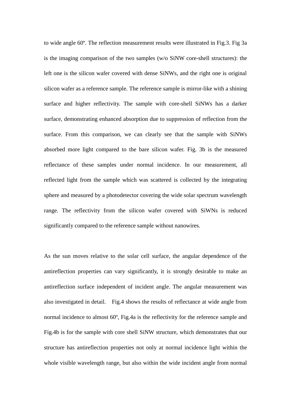to wide angle 60º. The reflection measurement results were illustrated in Fig.3. Fig 3a is the imaging comparison of the two samples (w/o SiNW core-shell structures): the left one is the silicon wafer covered with dense SiNWs, and the right one is original silicon wafer as a reference sample. The reference sample is mirror-like with a shining surface and higher reflectivity. The sample with core-shell SiNWs has a darker surface, demonstrating enhanced absorption due to suppression of reflection from the surface. From this comparison, we can clearly see that the sample with SiNWs absorbed more light compared to the bare silicon wafer. Fig. 3b is the measured reflectance of these samples under normal incidence. In our measurement, all reflected light from the sample which was scattered is collected by the integrating sphere and measured by a photodetector covering the wide solar spectrum wavelength range. The reflectivity from the silicon wafer covered with SiWNs is reduced significantly compared to the reference sample without nanowires.

As the sun moves relative to the solar cell surface, the angular dependence of the antireflection properties can vary significantly, it is strongly desirable to make an antireflection surface independent of incident angle. The angular measurement was also investigated in detail. Fig.4 shows the results of reflectance at wide angle from normal incidence to almost 60<sup>°</sup>, Fig.4a is the reflectivity for the reference sample and Fig.4b is for the sample with core shell SiNW structure, which demonstrates that our structure has antireflection properties not only at normal incidence light within the whole visible wavelength range, but also within the wide incident angle from normal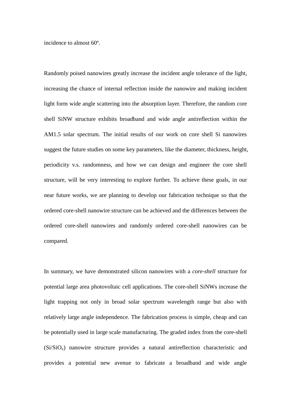incidence to almost 60º.

Randomly poised nanowires greatly increase the incident angle tolerance of the light, increasing the chance of internal reflection inside the nanowire and making incident light form wide angle scattering into the absorption layer. Therefore, the random core shell SiNW structure exhibits broadband and wide angle antireflection within the AM1.5 solar spectrum. The initial results of our work on core shell Si nanowires suggest the future studies on some key parameters, like the diameter, thickness, height, periodicity v.s. randomness, and how we can design and engineer the core shell structure, will be very interesting to explore further. To achieve these goals, in our near future works, we are planning to develop our fabrication technique so that the ordered core-shell nanowire structure can be achieved and the differences between the ordered core-shell nanowires and randomly ordered core-shell nanowires can be compared.

In summary, we have demonstrated silicon nanowires with a *core-shell* structure for potential large area photovoltaic cell applications. The core-shell SiNWs increase the light trapping not only in broad solar spectrum wavelength range but also with relatively large angle independence. The fabrication process is simple, cheap and can be potentially used in large scale manufacturing. The graded index from the core-shell (Si/SiOx) nanowire structure provides a natural antireflection characteristic and provides a potential new avenue to fabricate a broadband and wide angle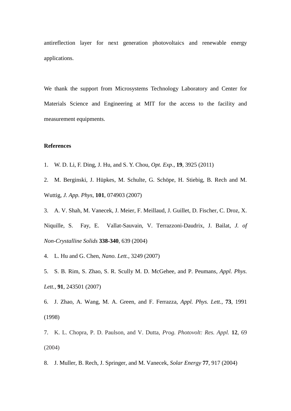antireflection layer for next generation photovoltaics and renewable energy applications.

We thank the support from Microsystems Technology Laboratory and Center for Materials Science and Engineering at MIT for the access to the facility and measurement equipments.

## **References**

- 1. W. D. Li, F. Ding, J. Hu, and S. Y. Chou, *Opt. Exp*., **19**, 3925 (2011)
- 2. M. Berginski, J. Hüpkes, M. Schulte, G. Schöpe, H. Stiebig, B. Rech and M. Wuttig, *J. App. Phys,* **101**, 074903 (2007)
- 3. A. V. Shah, M. Vanecek, J. Meier, F. Meillaud, J. Guillet, D. Fischer, C. Droz, X. Niquille, S. Fay, E. Vallat-Sauvain, V. Terrazzoni-Daudrix, J. Bailat, *J. of Non-Crystalline Solids* **338-340**, 639 (2004)
- 4. L. Hu and G. Chen, *Nano. Lett.*, 3249 (2007)
- 5. S. B. Rim, S. Zhao, S. R. Scully M. D. McGehee, and P. Peumans, *Appl. Phys. Lett.,* **91**, 243501 (2007)
- 6. J. Zhao, A. Wang, M. A. Green, and F. Ferrazza, *Appl. Phys. Lett.*, **73**, 1991 (1998)
- 7. K. L. Chopra, P. D. Paulson, and V. Dutta, *Prog. Photovolt: Res. Appl.* **12**, 69 (2004)
- 8. J. Muller, B. Rech, J. Springer, and M. Vanecek, *Solar Energy* **77**, 917 (2004)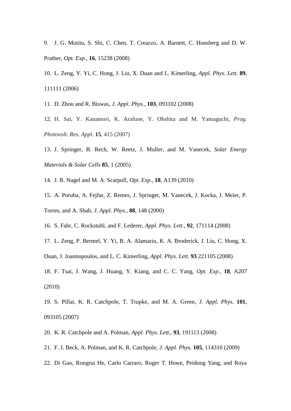9. J. G. Mutitu, S. Shi, C. Chen, T. Creazzo, A. Barnett, C. Honsberg and D. W. Prather, *Opt. Exp.*, **16**, 15238 (2008)

10. L. Zeng, Y. Yi, C. Hong, J. Liu, X. Duan and L. Kimerling, *Appl. Phys. Lett.* **89**, 111111 (2006)

11. D. Zhou and R. Biswas, *J. Appl. Phys.*, **103**, 093102 (2008)

12. H. Sai, Y. Kanamori, K. Arafune, Y. Ohshita and M. Yamaguchi, *Prog. Photovolt. Res. Appl*. **15**, 415 (2007)

13. J. Springer, B. Rech, W. Reetz, J. Muller, and M. Vanecek, *Solar Energy Materials & Solar Cells* **85**, 1 (2005)

14. J. R. Nagel and M. A. Scarpull, *Opt. Exp.,* **18**, A139 (2010)

15. A. Poruba, A. Fejfar, Z. Remes, J. Springer, M. Vanecek, J. Kocka, J. Meier, P. Torres, and A. Shah, *J. Appl. Phys.,* **88**, 148 (2000)

16. S. Fahr, C. Rockstuhl, and F. Lederer, *Appl. Phys. Lett.*, **92**, 171114 (2008)

17. L. Zeng, P. Bermel, Y. Yi, B. A. Alamariu, K. A. Broderick, J. Liu, C. Hong, X. Duan, J. Joannopoulos, and L. C. Kimerling, *Appl. Phys. Lett.* **93** 221105 (2008)

18. F. Tsai, J. Wang, J. Huang, Y. Kiang, and C. C. Yang, *Opt. Exp.,* **18**, A207 (2010)

19. S. Pillai, K. R. Catchpole, T. Trupke, and M. A. Green, *J. Appl. Phys.* **101**, 093105 (2007)

20. K. R. Catchpole and A. Polman, *Appl. Phys. Lett.*, **93**, 191113 (2008)

21. F. J. Beck, A. Polman, and K. R. Catchpole, *J. Appl. Phys.* **105**, 114310 (2009)

22. Di Gao, Rongrui He, Carlo Carraro, Roger T. Howe, Peidong Yang, and Roya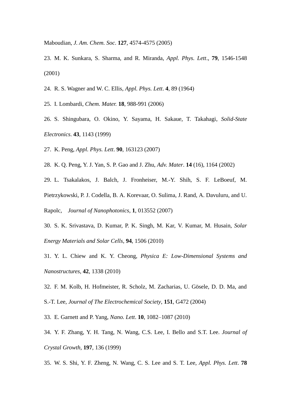Maboudian, *J. Am. Chem. Soc*. **127**, 4574-4575 (2005)

- 23. M. K. Sunkara, S. Sharma, and R. Miranda, *Appl. Phys. Lett*., **79**, 1546-1548 (2001)
- 24. R. S. Wagner and W. C. Ellis, *Appl. Phys. Lett*. **4**, 89 (1964)

25. I. Lombardi, *Chem. Mater.* **18**, 988-991 (2006)

- 26. S. Shingubara, O. Okino, Y. Sayama, H. Sakaue, T. Takahagi, *Solid-State Electronics*. **43**, 1143 (1999)
- 27. K. Peng, *Appl. Phys. Lett*. **90**, 163123 (2007)
- 28. K. Q. Peng, Y. J. Yan, S. P. Gao and J. Zhu, *Adv. Mater*. **14** (16), 1164 (2002)
- 29. L. Tsakalakos, J. Balch, J. Fronheiser, M.-Y. Shih, S. F. LeBoeuf, M.
- Pietrzykowski, P. J. Codella, B. A. Korevaar, O. Sulima, J. Rand, A. Davuluru, and U.

Rapolc, *Journal of Nanophotonics*, **1**, 013552 (2007)

- 30. S. K. Srivastava, D. Kumar, P. K. Singh, M. Kar, V. Kumar, M. Husain, *Solar Energy Materials and Solar Cells*, **94**, 1506 (2010)
- 31. Y. L. Chiew and K. Y. Cheong, *Physica E: Low-Dimensional Systems and Nanostructures*, **42**, 1338 (2010)
- 32. F. M. Kolb, H. Hofmeister, R. Scholz, M. Zacharias, U. Gösele, D. D. Ma, and
- S.-T. Lee, *Journal of The Electrochemical Society*, **151**, G472 (2004)
- 33. E. Garnett and P. Yang, *Nano. Lett*. **10**, 1082–1087 (2010)
- 34. Y. F. Zhang, Y. H. Tang, N. Wang, C.S. Lee, I. Bello and S.T. Lee. *Journal of Crystal Growth,* **197**, 136 (1999)
- 35. W. S. Shi, Y. F. Zheng, N. Wang, C. S. Lee and S. T. Lee, *Appl. Phys. Lett*. **78**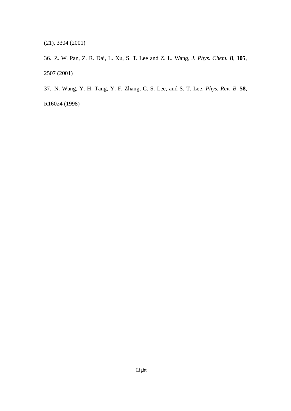(21), 3304 (2001)

36. Z. W. Pan, Z. R. Dai, L. Xu, S. T. Lee and Z. L. Wang, *J. Phys. Chem. B*, **105**, 2507 (2001)

37. N. Wang, Y. H. Tang, Y. F. Zhang, C. S. Lee, and S. T. Lee, *Phys. Rev. B*. **58**,

R16024 (1998)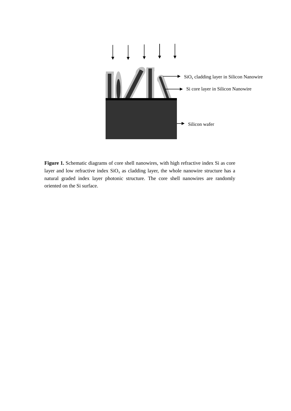

Figure 1. Schematic diagrams of core shell nanowires, with high refractive index Si as core layer and low refractive index  $SiO<sub>x</sub>$  as cladding layer, the whole nanowire structure has a natural graded index layer photonic structure. The core shell nanowires are randomly oriented on the Si surface.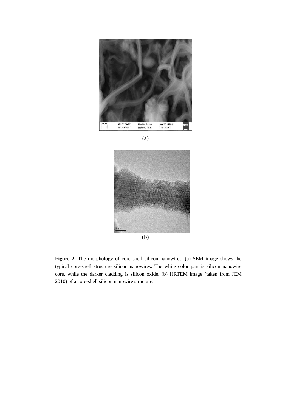

(a)



**Figure 2**. The morphology of core shell silicon nanowires. (a) SEM image shows the typical core-shell structure silicon nanowires. The white color part is silicon nanowire core, while the darker cladding is silicon oxide. (b) HRTEM image (taken from JEM 2010) of a core-shell silicon nanowire structure.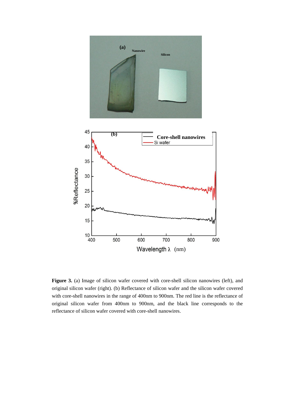

Figure 3. (a) Image of silicon wafer covered with core-shell silicon nanowires (left), and original silicon wafer (right). (b) Reflectance of silicon wafer and the silicon wafer covered with core-shell nanowires in the range of 400nm to 900nm. The red line is the reflectance of original silicon wafer from 400nm to 900nm, and the black line corresponds to the reflectance of silicon wafer covered with core-shell nanowires.